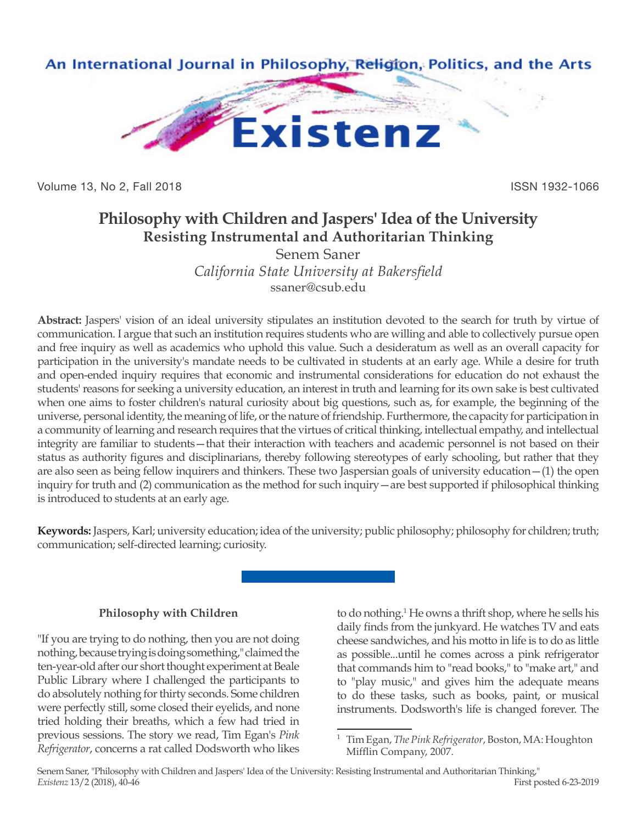

Volume 13, No 2, Fall 2018 ISSN 1932-1066

# **Philosophy with Children and Jaspers' Idea of the University Resisting Instrumental and Authoritarian Thinking**

Senem Saner *California State University at Bakersfield* ssaner@csub.edu

**Abstract:** Jaspers' vision of an ideal university stipulates an institution devoted to the search for truth by virtue of communication. I argue that such an institution requires students who are willing and able to collectively pursue open and free inquiry as well as academics who uphold this value. Such a desideratum as well as an overall capacity for participation in the university's mandate needs to be cultivated in students at an early age. While a desire for truth and open-ended inquiry requires that economic and instrumental considerations for education do not exhaust the students' reasons for seeking a university education, an interest in truth and learning for its own sake is best cultivated when one aims to foster children's natural curiosity about big questions, such as, for example, the beginning of the universe, personal identity, the meaning of life, or the nature of friendship. Furthermore, the capacity for participation in a community of learning and research requires that the virtues of critical thinking, intellectual empathy, and intellectual integrity are familiar to students—that their interaction with teachers and academic personnel is not based on their status as authority figures and disciplinarians, thereby following stereotypes of early schooling, but rather that they are also seen as being fellow inquirers and thinkers. These two Jaspersian goals of university education—(1) the open inquiry for truth and (2) communication as the method for such inquiry—are best supported if philosophical thinking is introduced to students at an early age.

**Keywords:** Jaspers, Karl; university education; idea of the university; public philosophy; philosophy for children; truth; communication; self-directed learning; curiosity.

### **Philosophy with Children**

"If you are trying to do nothing, then you are not doing nothing, because trying is doing something," claimed the ten-year-old after our short thought experiment at Beale Public Library where I challenged the participants to do absolutely nothing for thirty seconds. Some children were perfectly still, some closed their eyelids, and none tried holding their breaths, which a few had tried in previous sessions. The story we read, Tim Egan's *Pink Refrigerator*, concerns a rat called Dodsworth who likes

to do nothing.<sup>1</sup> He owns a thrift shop, where he sells his daily finds from the junkyard. He watches TV and eats cheese sandwiches, and his motto in life is to do as little as possible...until he comes across a pink refrigerator that commands him to "read books," to "make art," and to "play music," and gives him the adequate means to do these tasks, such as books, paint, or musical instruments. Dodsworth's life is changed forever. The

<sup>1</sup> Tim Egan, *The Pink Refrigerator*, Boston, MA: Houghton Mifflin Company, 2007.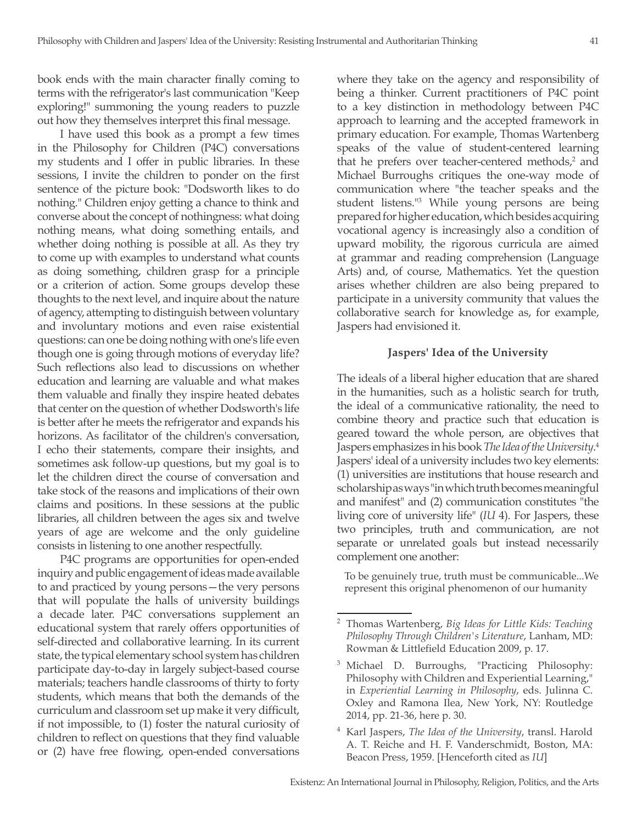book ends with the main character finally coming to terms with the refrigerator's last communication "Keep exploring!" summoning the young readers to puzzle out how they themselves interpret this final message.

I have used this book as a prompt a few times in the Philosophy for Children (P4C) conversations my students and I offer in public libraries. In these sessions, I invite the children to ponder on the first sentence of the picture book: "Dodsworth likes to do nothing." Children enjoy getting a chance to think and converse about the concept of nothingness: what doing nothing means, what doing something entails, and whether doing nothing is possible at all. As they try to come up with examples to understand what counts as doing something, children grasp for a principle or a criterion of action. Some groups develop these thoughts to the next level, and inquire about the nature of agency, attempting to distinguish between voluntary and involuntary motions and even raise existential questions: can one be doing nothing with one's life even though one is going through motions of everyday life? Such reflections also lead to discussions on whether education and learning are valuable and what makes them valuable and finally they inspire heated debates that center on the question of whether Dodsworth's life is better after he meets the refrigerator and expands his horizons. As facilitator of the children's conversation, I echo their statements, compare their insights, and sometimes ask follow-up questions, but my goal is to let the children direct the course of conversation and take stock of the reasons and implications of their own claims and positions. In these sessions at the public libraries, all children between the ages six and twelve years of age are welcome and the only guideline consists in listening to one another respectfully.

P4C programs are opportunities for open-ended inquiry and public engagement of ideas made available to and practiced by young persons—the very persons that will populate the halls of university buildings a decade later. P4C conversations supplement an educational system that rarely offers opportunities of self-directed and collaborative learning. In its current state, the typical elementary school system has children participate day-to-day in largely subject-based course materials; teachers handle classrooms of thirty to forty students, which means that both the demands of the curriculum and classroom set up make it very difficult, if not impossible, to (1) foster the natural curiosity of children to reflect on questions that they find valuable or (2) have free flowing, open-ended conversations

where they take on the agency and responsibility of being a thinker. Current practitioners of P4C point to a key distinction in methodology between P4C approach to learning and the accepted framework in primary education. For example, Thomas Wartenberg speaks of the value of student-centered learning that he prefers over teacher-centered methods,<sup>2</sup> and Michael Burroughs critiques the one-way mode of communication where "the teacher speaks and the student listens."3 While young persons are being prepared for higher education, which besides acquiring vocational agency is increasingly also a condition of upward mobility, the rigorous curricula are aimed at grammar and reading comprehension (Language Arts) and, of course, Mathematics. Yet the question arises whether children are also being prepared to participate in a university community that values the collaborative search for knowledge as, for example, Jaspers had envisioned it.

#### **Jaspers' Idea of the University**

The ideals of a liberal higher education that are shared in the humanities, such as a holistic search for truth, the ideal of a communicative rationality, the need to combine theory and practice such that education is geared toward the whole person, are objectives that Jaspers emphasizes in his book *The Idea of the University*. 4 Jaspers' ideal of a university includes two key elements: (1) universities are institutions that house research and scholarship as ways "in which truth becomes meaningful and manifest" and (2) communication constitutes "the living core of university life" (*IU* 4). For Jaspers, these two principles, truth and communication, are not separate or unrelated goals but instead necessarily complement one another:

To be genuinely true, truth must be communicable...We represent this original phenomenon of our humanity

<sup>2</sup> Thomas Wartenberg, *Big Ideas for Little Kids: Teaching Philosophy Through Children's Literature*, Lanham, MD: Rowman & Littlefield Education 2009, p. 17.

<sup>3</sup> Michael D. Burroughs, "Practicing Philosophy: Philosophy with Children and Experiential Learning," in *Experiential Learning in Philosophy*, eds. Julinna C. Oxley and Ramona Ilea, New York, NY: Routledge 2014, pp. 21-36, here p. 30.

<sup>4</sup> Karl Jaspers, *The Idea of the University*, transl. Harold A. T. Reiche and H. F. Vanderschmidt, Boston, MA: Beacon Press, 1959. [Henceforth cited as *IU*]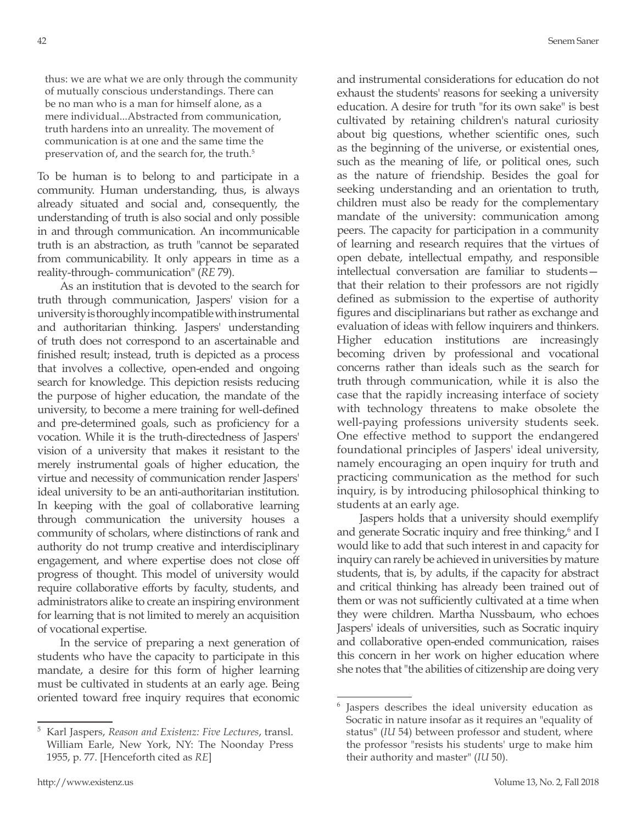thus: we are what we are only through the community of mutually conscious understandings. There can be no man who is a man for himself alone, as a mere individual...Abstracted from communication, truth hardens into an unreality. The movement of communication is at one and the same time the preservation of, and the search for, the truth.<sup>5</sup>

To be human is to belong to and participate in a community. Human understanding, thus, is always already situated and social and, consequently, the understanding of truth is also social and only possible in and through communication. An incommunicable truth is an abstraction, as truth "cannot be separated from communicability. It only appears in time as a reality-through- communication" (*RE* 79).

As an institution that is devoted to the search for truth through communication, Jaspers' vision for a university is thoroughly incompatible with instrumental and authoritarian thinking. Jaspers' understanding of truth does not correspond to an ascertainable and finished result; instead, truth is depicted as a process that involves a collective, open-ended and ongoing search for knowledge. This depiction resists reducing the purpose of higher education, the mandate of the university, to become a mere training for well-defined and pre-determined goals, such as proficiency for a vocation. While it is the truth-directedness of Jaspers' vision of a university that makes it resistant to the merely instrumental goals of higher education, the virtue and necessity of communication render Jaspers' ideal university to be an anti-authoritarian institution. In keeping with the goal of collaborative learning through communication the university houses a community of scholars, where distinctions of rank and authority do not trump creative and interdisciplinary engagement, and where expertise does not close off progress of thought. This model of university would require collaborative efforts by faculty, students, and administrators alike to create an inspiring environment for learning that is not limited to merely an acquisition of vocational expertise.

In the service of preparing a next generation of students who have the capacity to participate in this mandate, a desire for this form of higher learning must be cultivated in students at an early age. Being oriented toward free inquiry requires that economic and instrumental considerations for education do not exhaust the students' reasons for seeking a university education. A desire for truth "for its own sake" is best cultivated by retaining children's natural curiosity about big questions, whether scientific ones, such as the beginning of the universe, or existential ones, such as the meaning of life, or political ones, such as the nature of friendship. Besides the goal for seeking understanding and an orientation to truth, children must also be ready for the complementary mandate of the university: communication among peers. The capacity for participation in a community of learning and research requires that the virtues of open debate, intellectual empathy, and responsible intellectual conversation are familiar to students that their relation to their professors are not rigidly defined as submission to the expertise of authority figures and disciplinarians but rather as exchange and evaluation of ideas with fellow inquirers and thinkers. Higher education institutions are increasingly becoming driven by professional and vocational concerns rather than ideals such as the search for truth through communication, while it is also the case that the rapidly increasing interface of society with technology threatens to make obsolete the well-paying professions university students seek. One effective method to support the endangered foundational principles of Jaspers' ideal university, namely encouraging an open inquiry for truth and practicing communication as the method for such inquiry, is by introducing philosophical thinking to students at an early age.

Jaspers holds that a university should exemplify and generate Socratic inquiry and free thinking,<sup>6</sup> and I would like to add that such interest in and capacity for inquiry can rarely be achieved in universities by mature students, that is, by adults, if the capacity for abstract and critical thinking has already been trained out of them or was not sufficiently cultivated at a time when they were children. Martha Nussbaum, who echoes Jaspers' ideals of universities, such as Socratic inquiry and collaborative open-ended communication, raises this concern in her work on higher education where she notes that "the abilities of citizenship are doing very

<sup>5</sup> Karl Jaspers, *Reason and Existenz: Five Lectures*, transl. William Earle, New York, NY: The Noonday Press 1955, p. 77. [Henceforth cited as *RE*]

<sup>6</sup> Jaspers describes the ideal university education as Socratic in nature insofar as it requires an "equality of status" (*IU* 54) between professor and student, where the professor "resists his students' urge to make him their authority and master" (*IU* 50).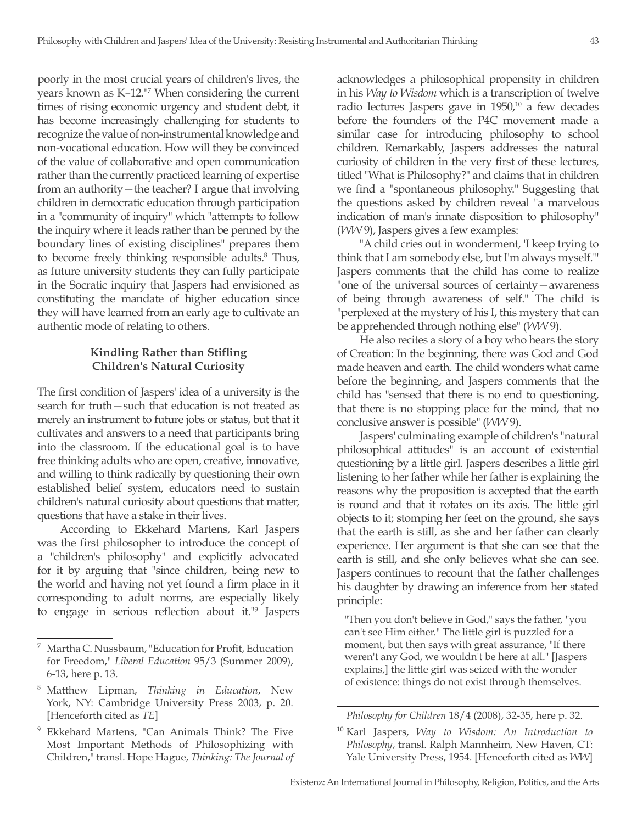poorly in the most crucial years of children's lives, the years known as K–12."<sup>7</sup> When considering the current times of rising economic urgency and student debt, it has become increasingly challenging for students to recognize the value of non-instrumental knowledge and non-vocational education. How will they be convinced of the value of collaborative and open communication rather than the currently practiced learning of expertise from an authority—the teacher? I argue that involving children in democratic education through participation in a "community of inquiry" which "attempts to follow the inquiry where it leads rather than be penned by the boundary lines of existing disciplines" prepares them to become freely thinking responsible adults.<sup>8</sup> Thus, as future university students they can fully participate in the Socratic inquiry that Jaspers had envisioned as constituting the mandate of higher education since they will have learned from an early age to cultivate an authentic mode of relating to others.

# **Kindling Rather than Stifling Children's Natural Curiosity**

The first condition of Jaspers' idea of a university is the search for truth—such that education is not treated as merely an instrument to future jobs or status, but that it cultivates and answers to a need that participants bring into the classroom. If the educational goal is to have free thinking adults who are open, creative, innovative, and willing to think radically by questioning their own established belief system, educators need to sustain children's natural curiosity about questions that matter, questions that have a stake in their lives.

According to Ekkehard Martens, Karl Jaspers was the first philosopher to introduce the concept of a "children's philosophy" and explicitly advocated for it by arguing that "since children, being new to the world and having not yet found a firm place in it corresponding to adult norms, are especially likely to engage in serious reflection about it."9 Jaspers acknowledges a philosophical propensity in children in his *Way to Wisdom* which is a transcription of twelve radio lectures Jaspers gave in  $1950<sup>10</sup>$  a few decades before the founders of the P4C movement made a similar case for introducing philosophy to school children. Remarkably, Jaspers addresses the natural curiosity of children in the very first of these lectures, titled "What is Philosophy?" and claims that in children we find a "spontaneous philosophy." Suggesting that the questions asked by children reveal "a marvelous indication of man's innate disposition to philosophy" (*WW* 9), Jaspers gives a few examples:

"A child cries out in wonderment, 'I keep trying to think that I am somebody else, but I'm always myself.'" Jaspers comments that the child has come to realize "one of the universal sources of certainty—awareness of being through awareness of self." The child is "perplexed at the mystery of his I, this mystery that can be apprehended through nothing else" (*WW* 9).

He also recites a story of a boy who hears the story of Creation: In the beginning, there was God and God made heaven and earth. The child wonders what came before the beginning, and Jaspers comments that the child has "sensed that there is no end to questioning, that there is no stopping place for the mind, that no conclusive answer is possible" (*WW* 9).

Jaspers' culminating example of children's "natural philosophical attitudes" is an account of existential questioning by a little girl. Jaspers describes a little girl listening to her father while her father is explaining the reasons why the proposition is accepted that the earth is round and that it rotates on its axis. The little girl objects to it; stomping her feet on the ground, she says that the earth is still, as she and her father can clearly experience. Her argument is that she can see that the earth is still, and she only believes what she can see. Jaspers continues to recount that the father challenges his daughter by drawing an inference from her stated principle:

"Then you don't believe in God," says the father, "you can't see Him either." The little girl is puzzled for a moment, but then says with great assurance, "If there weren't any God, we wouldn't be here at all." [Jaspers explains,] the little girl was seized with the wonder of existence: things do not exist through themselves.

*Philosophy for Children* 18/4 (2008), 32-35, here p. 32.

Martha C. Nussbaum, "Education for Profit, Education for Freedom," *Liberal Education* 95/3 (Summer 2009), 6-13, here p. 13.

<sup>8</sup> Matthew Lipman, *Thinking in Education*, New York, NY: Cambridge University Press 2003, p. 20. [Henceforth cited as *TE*]

<sup>9</sup> Ekkehard Martens, "Can Animals Think? The Five Most Important Methods of Philosophizing with Children," transl. Hope Hague, *Thinking: The Journal of* 

<sup>10</sup> Karl Jaspers, *Way to Wisdom: An Introduction to Philosophy*, transl. Ralph Mannheim, New Haven, CT: Yale University Press, 1954. [Henceforth cited as *WW*]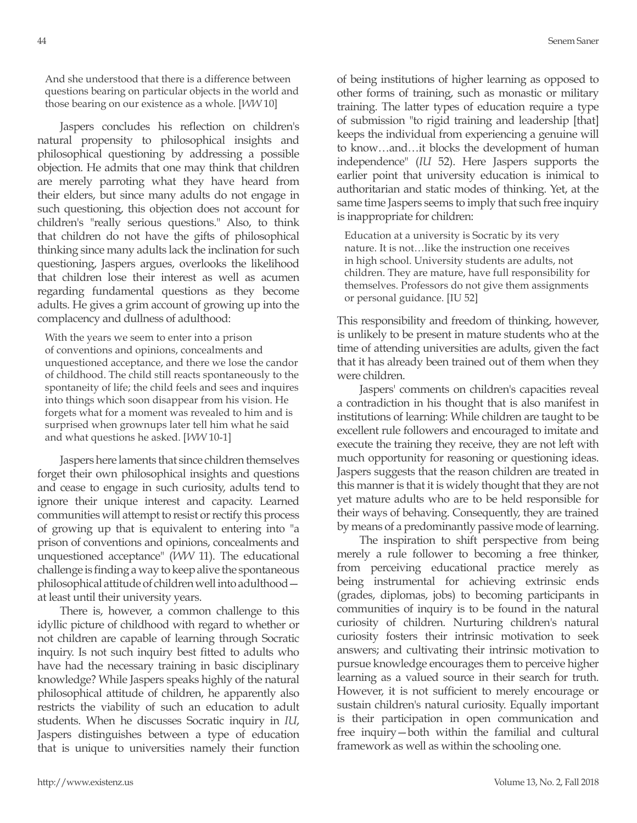And she understood that there is a difference between questions bearing on particular objects in the world and those bearing on our existence as a whole. [*WW* 10]

Jaspers concludes his reflection on children's natural propensity to philosophical insights and philosophical questioning by addressing a possible objection. He admits that one may think that children are merely parroting what they have heard from their elders, but since many adults do not engage in such questioning, this objection does not account for children's "really serious questions." Also, to think that children do not have the gifts of philosophical thinking since many adults lack the inclination for such questioning, Jaspers argues, overlooks the likelihood that children lose their interest as well as acumen regarding fundamental questions as they become adults. He gives a grim account of growing up into the complacency and dullness of adulthood:

With the years we seem to enter into a prison of conventions and opinions, concealments and unquestioned acceptance, and there we lose the candor of childhood. The child still reacts spontaneously to the spontaneity of life; the child feels and sees and inquires into things which soon disappear from his vision. He forgets what for a moment was revealed to him and is surprised when grownups later tell him what he said and what questions he asked. [*WW* 10-1]

Jaspers here laments that since children themselves forget their own philosophical insights and questions and cease to engage in such curiosity, adults tend to ignore their unique interest and capacity. Learned communities will attempt to resist or rectify this process of growing up that is equivalent to entering into "a prison of conventions and opinions, concealments and unquestioned acceptance" (*WW* 11). The educational challenge is finding a way to keep alive the spontaneous philosophical attitude of children well into adulthood at least until their university years.

There is, however, a common challenge to this idyllic picture of childhood with regard to whether or not children are capable of learning through Socratic inquiry. Is not such inquiry best fitted to adults who have had the necessary training in basic disciplinary knowledge? While Jaspers speaks highly of the natural philosophical attitude of children, he apparently also restricts the viability of such an education to adult students. When he discusses Socratic inquiry in *IU*, Jaspers distinguishes between a type of education that is unique to universities namely their function of being institutions of higher learning as opposed to other forms of training, such as monastic or military training. The latter types of education require a type of submission "to rigid training and leadership [that] keeps the individual from experiencing a genuine will to know…and…it blocks the development of human independence" (*IU* 52). Here Jaspers supports the earlier point that university education is inimical to authoritarian and static modes of thinking. Yet, at the same time Jaspers seems to imply that such free inquiry is inappropriate for children:

Education at a university is Socratic by its very nature. It is not…like the instruction one receives in high school. University students are adults, not children. They are mature, have full responsibility for themselves. Professors do not give them assignments or personal guidance. [IU 52]

This responsibility and freedom of thinking, however, is unlikely to be present in mature students who at the time of attending universities are adults, given the fact that it has already been trained out of them when they were children.

Jaspers' comments on children's capacities reveal a contradiction in his thought that is also manifest in institutions of learning: While children are taught to be excellent rule followers and encouraged to imitate and execute the training they receive, they are not left with much opportunity for reasoning or questioning ideas. Jaspers suggests that the reason children are treated in this manner is that it is widely thought that they are not yet mature adults who are to be held responsible for their ways of behaving. Consequently, they are trained by means of a predominantly passive mode of learning.

The inspiration to shift perspective from being merely a rule follower to becoming a free thinker, from perceiving educational practice merely as being instrumental for achieving extrinsic ends (grades, diplomas, jobs) to becoming participants in communities of inquiry is to be found in the natural curiosity of children. Nurturing children's natural curiosity fosters their intrinsic motivation to seek answers; and cultivating their intrinsic motivation to pursue knowledge encourages them to perceive higher learning as a valued source in their search for truth. However, it is not sufficient to merely encourage or sustain children's natural curiosity. Equally important is their participation in open communication and free inquiry—both within the familial and cultural framework as well as within the schooling one.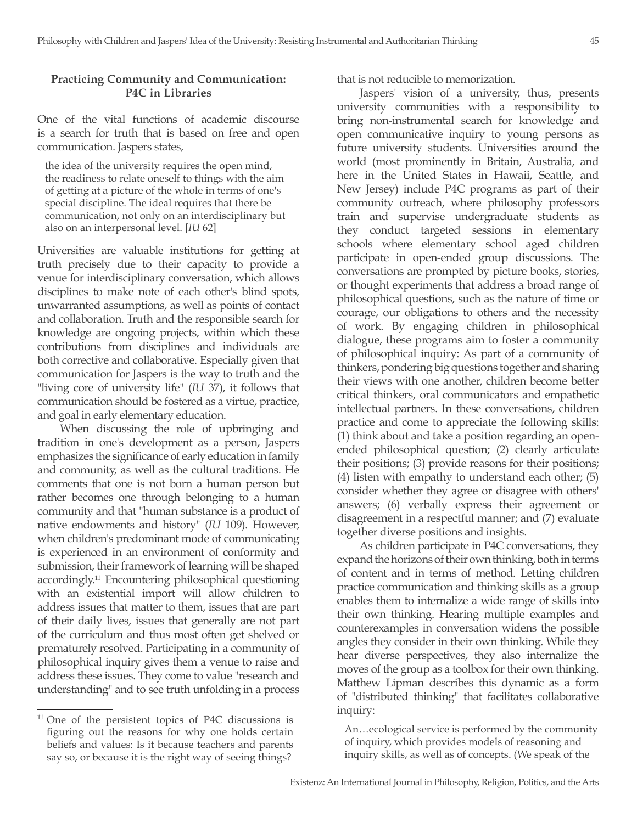## **Practicing Community and Communication: P4C in Libraries**

One of the vital functions of academic discourse is a search for truth that is based on free and open communication. Jaspers states,

the idea of the university requires the open mind, the readiness to relate oneself to things with the aim of getting at a picture of the whole in terms of one's special discipline. The ideal requires that there be communication, not only on an interdisciplinary but also on an interpersonal level. [*IU* 62]

Universities are valuable institutions for getting at truth precisely due to their capacity to provide a venue for interdisciplinary conversation, which allows disciplines to make note of each other's blind spots, unwarranted assumptions, as well as points of contact and collaboration. Truth and the responsible search for knowledge are ongoing projects, within which these contributions from disciplines and individuals are both corrective and collaborative. Especially given that communication for Jaspers is the way to truth and the "living core of university life" (*IU* 37), it follows that communication should be fostered as a virtue, practice, and goal in early elementary education.

When discussing the role of upbringing and tradition in one's development as a person, Jaspers emphasizes the significance of early education in family and community, as well as the cultural traditions. He comments that one is not born a human person but rather becomes one through belonging to a human community and that "human substance is a product of native endowments and history" (*IU* 109). However, when children's predominant mode of communicating is experienced in an environment of conformity and submission, their framework of learning will be shaped accordingly.11 Encountering philosophical questioning with an existential import will allow children to address issues that matter to them, issues that are part of their daily lives, issues that generally are not part of the curriculum and thus most often get shelved or prematurely resolved. Participating in a community of philosophical inquiry gives them a venue to raise and address these issues. They come to value "research and understanding" and to see truth unfolding in a process

that is not reducible to memorization.

Jaspers' vision of a university, thus, presents university communities with a responsibility to bring non-instrumental search for knowledge and open communicative inquiry to young persons as future university students. Universities around the world (most prominently in Britain, Australia, and here in the United States in Hawaii, Seattle, and New Jersey) include P4C programs as part of their community outreach, where philosophy professors train and supervise undergraduate students as they conduct targeted sessions in elementary schools where elementary school aged children participate in open-ended group discussions. The conversations are prompted by picture books, stories, or thought experiments that address a broad range of philosophical questions, such as the nature of time or courage, our obligations to others and the necessity of work. By engaging children in philosophical dialogue, these programs aim to foster a community of philosophical inquiry: As part of a community of thinkers, pondering big questions together and sharing their views with one another, children become better critical thinkers, oral communicators and empathetic intellectual partners. In these conversations, children practice and come to appreciate the following skills: (1) think about and take a position regarding an openended philosophical question; (2) clearly articulate their positions; (3) provide reasons for their positions; (4) listen with empathy to understand each other; (5) consider whether they agree or disagree with others' answers; (6) verbally express their agreement or disagreement in a respectful manner; and (7) evaluate together diverse positions and insights.

As children participate in P4C conversations, they expand the horizons of their own thinking, both in terms of content and in terms of method. Letting children practice communication and thinking skills as a group enables them to internalize a wide range of skills into their own thinking. Hearing multiple examples and counterexamples in conversation widens the possible angles they consider in their own thinking. While they hear diverse perspectives, they also internalize the moves of the group as a toolbox for their own thinking. Matthew Lipman describes this dynamic as a form of "distributed thinking" that facilitates collaborative inquiry:

An…ecological service is performed by the community of inquiry, which provides models of reasoning and inquiry skills, as well as of concepts. (We speak of the

<sup>&</sup>lt;sup>11</sup> One of the persistent topics of P4C discussions is figuring out the reasons for why one holds certain beliefs and values: Is it because teachers and parents say so, or because it is the right way of seeing things?